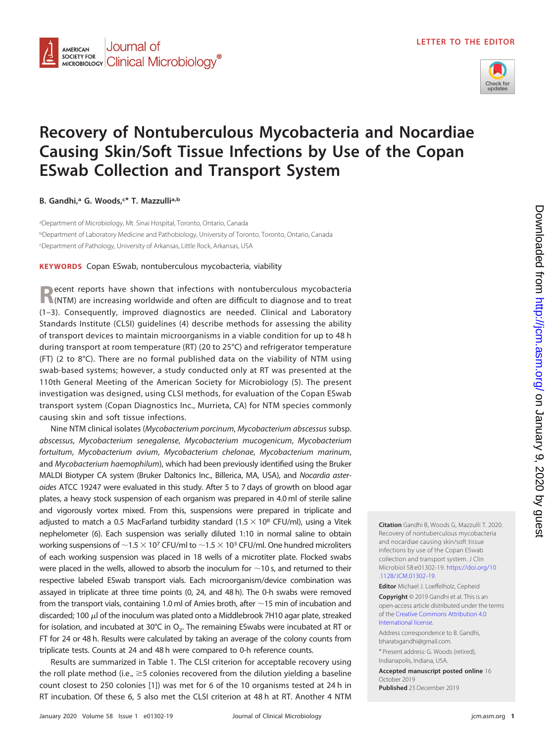

## **Recovery of Nontuberculous Mycobacteria and Nocardiae Causing Skin/Soft Tissue Infections by Use of the Copan ESwab Collection and Transport System**

**B. Gandhi,a G. Woods,c \* T. Mazzullia,b**

aDepartment of Microbiology, Mt. Sinai Hospital, Toronto, Ontario, Canada <sup>b</sup>Department of Laboratory Medicine and Pathobiology, University of Toronto, Toronto, Ontario, Canada c Department of Pathology, University of Arkansas, Little Rock, Arkansas, USA

**KEYWORDS** Copan ESwab, nontuberculous mycobacteria, viability

**Recent reports have shown that infections with nontuberculous mycobacteria <br>
<b>R**(NTM) are increasing worldwide and often are difficult to diagnose and to treat [\(1](#page-2-0)[–](#page-2-1)[3\)](#page-2-2). Consequently, improved diagnostics are needed. Clinical and Laboratory Standards Institute (CLSI) guidelines [\(4\)](#page-2-3) describe methods for assessing the ability of transport devices to maintain microorganisms in a viable condition for up to 48 h during transport at room temperature (RT) (20 to 25°C) and refrigerator temperature (FT) (2 to 8°C). There are no formal published data on the viability of NTM using swab-based systems; however, a study conducted only at RT was presented at the 110th General Meeting of the American Society for Microbiology [\(5\)](#page-2-4). The present investigation was designed, using CLSI methods, for evaluation of the Copan ESwab transport system (Copan Diagnostics Inc., Murrieta, CA) for NTM species commonly causing skin and soft tissue infections.

Nine NTM clinical isolates (Mycobacterium porcinum, Mycobacterium abscessus subsp. abscessus, Mycobacterium senegalense, Mycobacterium mucogenicum, Mycobacterium fortuitum, Mycobacterium avium, Mycobacterium chelonae, Mycobacterium marinum, and Mycobacterium haemophilum), which had been previously identified using the Bruker MALDI Biotyper CA system (Bruker Daltonics Inc., Billerica, MA, USA), and Nocardia asteroides ATCC 19247 were evaluated in this study. After 5 to 7 days of growth on blood agar plates, a heavy stock suspension of each organism was prepared in 4.0 ml of sterile saline and vigorously vortex mixed. From this, suspensions were prepared in triplicate and adjusted to match a 0.5 MacFarland turbidity standard  $(1.5 \times 10^8$  CFU/ml), using a Vitek nephelometer [\(6\)](#page-2-5). Each suspension was serially diluted 1:10 in normal saline to obtain working suspensions of  ${\sim}1.5 \times$  10<sup>7</sup> CFU/ml to  ${\sim}1.5 \times$  10<sup>3</sup> CFU/ml. One hundred microliters of each working suspension was placed in 18 wells of a microtiter plate. Flocked swabs were placed in the wells, allowed to absorb the inoculum for  $\sim$  10 s, and returned to their respective labeled ESwab transport vials. Each microorganism/device combination was assayed in triplicate at three time points (0, 24, and 48 h). The 0-h swabs were removed from the transport vials, containing 1.0 ml of Amies broth, after  $\sim$  15 min of incubation and discarded; 100  $\mu$ l of the inoculum was plated onto a Middlebrook 7H10 agar plate, streaked for isolation, and incubated at 30°C in  $O<sub>2</sub>$ . The remaining ESwabs were incubated at RT or FT for 24 or 48 h. Results were calculated by taking an average of the colony counts from triplicate tests. Counts at 24 and 48 h were compared to 0-h reference counts.

Results are summarized in [Table 1.](#page-1-0) The CLSI criterion for acceptable recovery using the roll plate method (i.e.,  $\geq$  5 colonies recovered from the dilution yielding a baseline count closest to 250 colonies [\[1\]](#page-2-0)) was met for 6 of the 10 organisms tested at 24 h in RT incubation. Of these 6, 5 also met the CLSI criterion at 48 h at RT. Another 4 NTM

**Citation** Gandhi B, Woods G, Mazzulli T. 2020. Recovery of nontuberculous mycobacteria and nocardiae causing skin/soft tissue infections by use of the Copan ESwab collection and transport system. J Clin Microbiol 58:e01302-19. [https://doi.org/10](https://doi.org/10.1128/JCM.01302-19) [.1128/JCM.01302-19.](https://doi.org/10.1128/JCM.01302-19)

**Editor** Michael J. Loeffelholz, Cepheid

**Copyright** © 2019 Gandhi et al. This is an open-access article distributed under the terms of the [Creative Commons Attribution 4.0](https://creativecommons.org/licenses/by/4.0/) [International](https://creativecommons.org/licenses/by/4.0/) license.

Address correspondence to B. Gandhi, [bharatxgandhi@gmail.com.](mailto:bharatxgandhi@gmail.com) \* Present address: G. Woods (retired),

Indianapolis, Indiana, USA.

**Accepted manuscript posted online** 16 October 2019 **Published** 23 December 2019

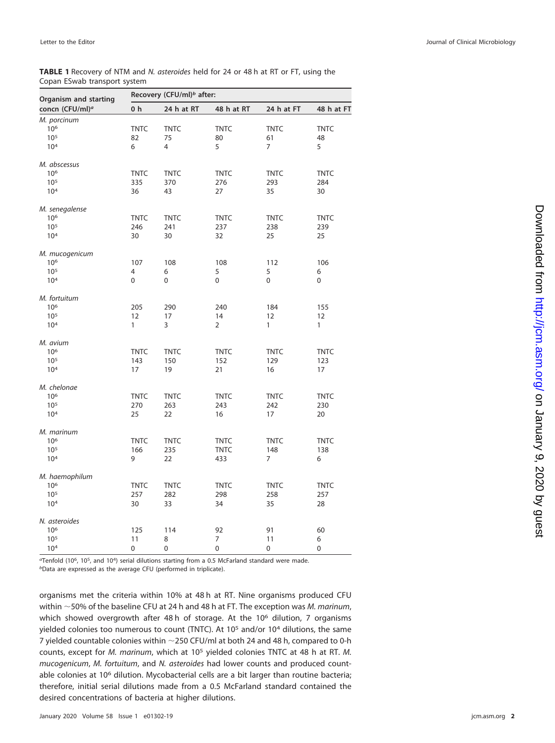## <span id="page-1-0"></span>**TABLE 1** Recovery of NTM and N. asteroides held for 24 or 48 h at RT or FT, using the Copan ESwab transport system

| Organism and starting<br>concn (CFU/ml) <sup>a</sup> | Recovery (CFU/ml) <sup>b</sup> after: |                |                |                |              |
|------------------------------------------------------|---------------------------------------|----------------|----------------|----------------|--------------|
|                                                      | 0 h                                   | 24 h at RT     | 48 h at RT     | 24 h at FT     | 48 h at FT   |
| M. porcinum                                          |                                       |                |                |                |              |
| 10 <sup>6</sup>                                      | <b>TNTC</b>                           | <b>TNTC</b>    | <b>TNTC</b>    | <b>TNTC</b>    | <b>TNTC</b>  |
| $10^{5}$                                             | 82                                    | 75             | 80             | 61             | 48           |
| 10 <sup>4</sup>                                      | 6                                     | $\overline{4}$ | 5              | $\overline{7}$ | 5            |
| M. abscessus                                         |                                       |                |                |                |              |
| 10 <sup>6</sup>                                      | <b>TNTC</b>                           | <b>TNTC</b>    | <b>TNTC</b>    | <b>TNTC</b>    | <b>TNTC</b>  |
| 10 <sup>5</sup>                                      | 335                                   | 370            | 276            | 293            | 284          |
| 10 <sup>4</sup>                                      | 36                                    | 43             | 27             | 35             | 30           |
| M. senegalense                                       |                                       |                |                |                |              |
| 10 <sup>6</sup>                                      | <b>TNTC</b>                           | <b>TNTC</b>    | <b>TNTC</b>    | <b>TNTC</b>    | <b>TNTC</b>  |
| 10 <sup>5</sup>                                      | 246                                   | 241            | 237            | 238            | 239          |
| 10 <sup>4</sup>                                      | 30                                    | 30             | 32             | 25             | 25           |
| M. mucogenicum                                       |                                       |                |                |                |              |
| 10 <sup>6</sup>                                      | 107                                   | 108            | 108            | 112            | 106          |
| 10 <sup>5</sup>                                      | 4                                     | 6              | 5              | 5              | 6            |
| 10 <sup>4</sup>                                      | $\mathbf 0$                           | 0              | 0              | 0              | 0            |
| M. fortuitum                                         |                                       |                |                |                |              |
| 10 <sup>6</sup>                                      | 205                                   | 290            | 240            | 184            | 155          |
| 10 <sup>5</sup>                                      | 12                                    | 17             | 14             | 12             | 12           |
| 10 <sup>4</sup>                                      | 1                                     | 3              | $\overline{2}$ | 1              | $\mathbf{1}$ |
| M. avium                                             |                                       |                |                |                |              |
| 10 <sup>6</sup>                                      | <b>TNTC</b>                           | <b>TNTC</b>    | <b>TNTC</b>    | <b>TNTC</b>    | <b>TNTC</b>  |
| 10 <sup>5</sup>                                      | 143                                   | 150            | 152            | 129            | 123          |
| 10 <sup>4</sup>                                      | 17                                    | 19             | 21             | 16             | 17           |
| M. chelonae                                          |                                       |                |                |                |              |
| 10 <sup>6</sup>                                      | <b>TNTC</b>                           | <b>TNTC</b>    | <b>TNTC</b>    | <b>TNTC</b>    | <b>TNTC</b>  |
| 10 <sup>5</sup>                                      | 270                                   | 263            | 243            | 242            | 230          |
| 10 <sup>4</sup>                                      | 25                                    | 22             | 16             | 17             | 20           |
| M. marinum                                           |                                       |                |                |                |              |
| 10 <sup>6</sup>                                      | <b>TNTC</b>                           | <b>TNTC</b>    | <b>TNTC</b>    | <b>TNTC</b>    | <b>TNTC</b>  |
| 10 <sup>5</sup>                                      | 166                                   | 235            | <b>TNTC</b>    | 148            | 138          |
| 10 <sup>4</sup>                                      | 9                                     | 22             | 433            | 7              | 6            |
| M. haemophilum                                       |                                       |                |                |                |              |
| 10 <sup>6</sup>                                      | <b>TNTC</b>                           | <b>TNTC</b>    | <b>TNTC</b>    | <b>TNTC</b>    | <b>TNTC</b>  |
| 10 <sup>5</sup>                                      | 257                                   | 282            | 298            | 258            | 257          |
| 10 <sup>4</sup>                                      | 30                                    | 33             | 34             | 35             | 28           |
| N. asteroides                                        |                                       |                |                |                |              |
| 10 <sup>6</sup>                                      | 125                                   | 114            | 92             | 91             | 60           |
| 10 <sup>5</sup>                                      | 11                                    | 8              | 7              | 11             | 6            |
| 10 <sup>4</sup>                                      | 0                                     | 0              | 0              | 0              | 0            |

aTenfold (106, 105, and 104) serial dilutions starting from a 0.5 McFarland standard were made. bData are expressed as the average CFU (performed in triplicate).

organisms met the criteria within 10% at 48 h at RT. Nine organisms produced CFU within  $\sim$  50% of the baseline CFU at 24 h and 48 h at FT. The exception was M. marinum, which showed overgrowth after 48 h of storage. At the 10<sup>6</sup> dilution, 7 organisms yielded colonies too numerous to count (TNTC). At 10<sup>5</sup> and/or 10<sup>4</sup> dilutions, the same 7 yielded countable colonies within  $\sim$  250 CFU/ml at both 24 and 48 h, compared to 0-h counts, except for M. marinum, which at 105 yielded colonies TNTC at 48 h at RT. M. mucogenicum, M. fortuitum, and N. asteroides had lower counts and produced countable colonies at 10<sup>6</sup> dilution. Mycobacterial cells are a bit larger than routine bacteria; therefore, initial serial dilutions made from a 0.5 McFarland standard contained the desired concentrations of bacteria at higher dilutions.